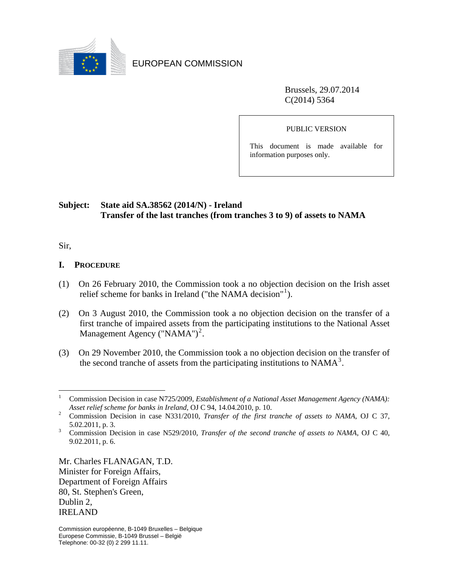

EUROPEAN COMMISSION

Brussels, 29.07.2014 C(2014) 5364

PUBLIC VERSION

This document is made available for information purposes only.

## **Subject: State aid SA.38562 (2014/N) - Ireland Transfer of the last tranches (from tranches 3 to 9) of assets to NAMA**

Sir,

 $\overline{a}$ 

#### **I. PROCEDURE**

- (1) On 26 February 2010, the Commission took a no objection decision on the Irish asset relief scheme for banks in Ireland ("the NAMA decision"<sup>[1](#page-0-0)</sup>).
- (2) On 3 August 2010, the Commission took a no objection decision on the transfer of a first tranche of impaired assets from the participating institutions to the National Asset Management Agency  $("NAMA")^2$  $("NAMA")^2$ .
- (3) On 29 November 2010, the Commission took a no objection decision on the transfer of the second tranche of assets from the participating institutions to  $NAMA<sup>3</sup>$  $NAMA<sup>3</sup>$  $NAMA<sup>3</sup>$ .

Mr. Charles FLANAGAN, T.D. Minister for Foreign Affairs, Department of Foreign Affairs 80, St. Stephen's Green, Dublin 2, IRELAND

<span id="page-0-0"></span><sup>1</sup> Commission Decision in case N725/2009, *Establishment of a National Asset Management Agency (NAMA): Asset relief scheme for banks in Ireland*, OJ C 94, 14.04.2010, p. 10.

<span id="page-0-1"></span>Commission Decision in case N331/2010, *Transfer of the first tranche of assets to NAMA*, OJ C 37, 5.02.2011, p. 3.

<span id="page-0-2"></span><sup>3</sup> Commission Decision in case N529/2010, *Transfer of the second tranche of assets to NAMA*, OJ C 40, 9.02.2011, p. 6.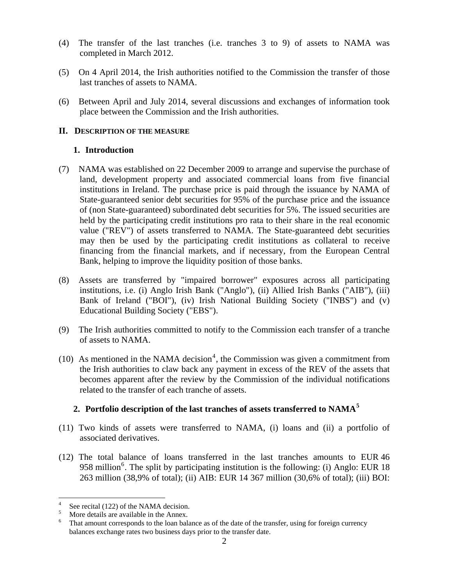- (4) The transfer of the last tranches (i.e. tranches 3 to 9) of assets to NAMA was completed in March 2012.
- (5) On 4 April 2014, the Irish authorities notified to the Commission the transfer of those last tranches of assets to NAMA.
- (6) Between April and July 2014, several discussions and exchanges of information took place between the Commission and the Irish authorities.

### **II. DESCRIPTION OF THE MEASURE**

### **1. Introduction**

- (7) NAMA was established on 22 December 2009 to arrange and supervise the purchase of land, development property and associated commercial loans from five financial institutions in Ireland. The purchase price is paid through the issuance by NAMA of State-guaranteed senior debt securities for 95% of the purchase price and the issuance of (non State-guaranteed) subordinated debt securities for 5%. The issued securities are held by the participating credit institutions pro rata to their share in the real economic value ("REV") of assets transferred to NAMA. The State-guaranteed debt securities may then be used by the participating credit institutions as collateral to receive financing from the financial markets, and if necessary, from the European Central Bank, helping to improve the liquidity position of those banks.
- (8) Assets are transferred by "impaired borrower" exposures across all participating institutions, i.e. (i) Anglo Irish Bank ("Anglo"), (ii) Allied Irish Banks ("AIB"), (iii) Bank of Ireland ("BOI"), (iv) Irish National Building Society ("INBS") and (v) Educational Building Society ("EBS").
- (9) The Irish authorities committed to notify to the Commission each transfer of a tranche of assets to NAMA.
- (10) As mentioned in the NAMA decision<sup>[4](#page-1-0)</sup>, the Commission was given a commitment from the Irish authorities to claw back any payment in excess of the REV of the assets that becomes apparent after the review by the Commission of the individual notifications related to the transfer of each tranche of assets.

### **2. Portfolio description of the last tranches of assets transferred to NAMA[5](#page-1-1)**

- (11) Two kinds of assets were transferred to NAMA, (i) loans and (ii) a portfolio of associated derivatives.
- (12) The total balance of loans transferred in the last tranches amounts to EUR 46 958 million<sup>[6](#page-1-2)</sup>. The split by participating institution is the following: (i) Anglo: EUR 18 263 million (38,9% of total); (ii) AIB: EUR 14 367 million (30,6% of total); (iii) BOI:

 $\overline{a}$ 

<span id="page-1-1"></span><span id="page-1-0"></span><sup>4</sup> <sup>4</sup> See recital (122) of the NAMA decision.<br> $\frac{5}{\sqrt{2}}$  M<sub>2</sub> details are available in the Annex

More details are available in the Annex.

<span id="page-1-2"></span><sup>6</sup> That amount corresponds to the loan balance as of the date of the transfer, using for foreign currency balances exchange rates two business days prior to the transfer date.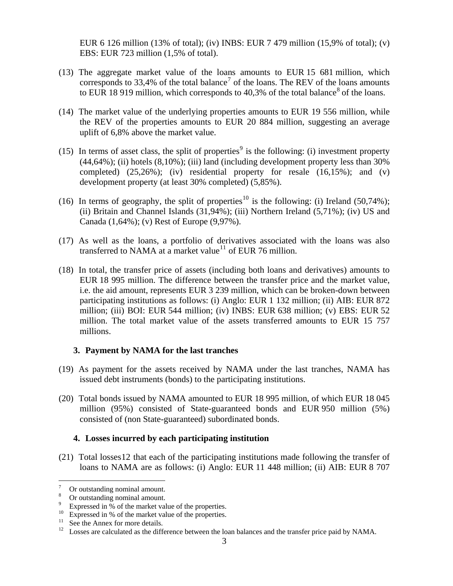EUR 6 126 million (13% of total); (iv) INBS: EUR 7 479 million (15,9% of total); (v) EBS: EUR 723 million (1,5% of total).

- (13) The aggregate market value of the loans amounts to EUR 15 681 million, which corresponds to 33,4% of the total balance<sup>[7](#page-2-0)</sup> of the loans. The REV of the loans amounts to EUR 1[8](#page-2-1) 919 million, which corresponds to 40.3% of the total balance<sup>8</sup> of the loans.
- (14) The market value of the underlying properties amounts to EUR 19 556 million, while the REV of the properties amounts to EUR 20 884 million, suggesting an average uplift of 6,8% above the market value.
- (15) In terms of asset class, the split of properties<sup>[9](#page-2-2)</sup> is the following: (i) investment property (44,64%); (ii) hotels (8,10%); (iii) land (including development property less than 30% completed)  $(25,26\%)$ ; (iv) residential property for resale  $(16,15\%)$ ; and (v) development property (at least 30% completed) (5,85%).
- (16) In terms of geography, the split of properties<sup>[10](#page-2-3)</sup> is the following: (i) Ireland (50,74%); (ii) Britain and Channel Islands  $(31,94\%)$ ; (iii) Northern Ireland  $(5,71\%)$ ; (iv) US and Canada (1,64%); (v) Rest of Europe (9,97%).
- (17) As well as the loans, a portfolio of derivatives associated with the loans was also transferred to NAMA at a market value<sup>[11](#page-2-4)</sup> of EUR 76 million.
- (18) In total, the transfer price of assets (including both loans and derivatives) amounts to EUR 18 995 million. The difference between the transfer price and the market value, i.e. the aid amount, represents EUR 3 239 million, which can be broken-down between participating institutions as follows: (i) Anglo: EUR 1 132 million; (ii) AIB: EUR 872 million; (iii) BOI: EUR 544 million; (iv) INBS: EUR 638 million; (v) EBS: EUR 52 million. The total market value of the assets transferred amounts to EUR 15 757 millions.

#### **3. Payment by NAMA for the last tranches**

- (19) As payment for the assets received by NAMA under the last tranches, NAMA has issued debt instruments (bonds) to the participating institutions.
- (20) Total bonds issued by NAMA amounted to EUR 18 995 million, of which EUR 18 045 million (95%) consisted of State-guaranteed bonds and EUR 950 million (5%) consisted of (non State-guaranteed) subordinated bonds.

#### **4. Losses incurred by each participating institution**

(21) Total losses[12](#page-2-5) that each of the participating institutions made following the transfer of loans to NAMA are as follows: (i) Anglo: EUR 11 448 million; (ii) AIB: EUR 8 707

<span id="page-2-0"></span><sup>&</sup>lt;sup>-</sup> Or outstanding nominal amount. 8

Or outstanding nominal amount.

<sup>9</sup>

<span id="page-2-3"></span><span id="page-2-2"></span><span id="page-2-1"></span>Expressed in % of the market value of the properties.<br><sup>10</sup> Expressed in % of the market value of the properties.<br><sup>11</sup> See the Annex for more details.

<span id="page-2-4"></span>

<span id="page-2-5"></span><sup>&</sup>lt;sup>12</sup> Losses are calculated as the difference between the loan balances and the transfer price paid by NAMA.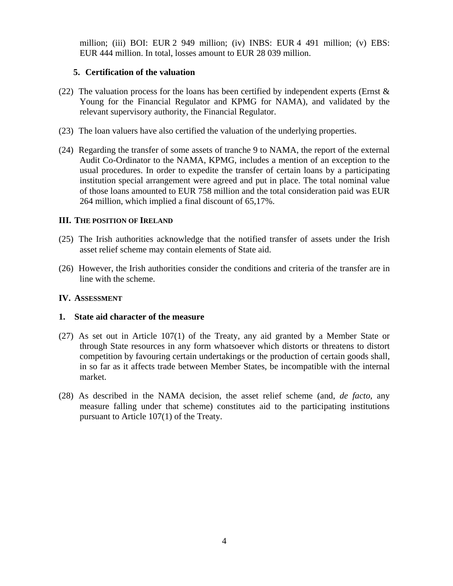million; (iii) BOI: EUR 2 949 million; (iv) INBS: EUR 4 491 million; (v) EBS: EUR 444 million. In total, losses amount to EUR 28 039 million.

#### **5. Certification of the valuation**

- <span id="page-3-1"></span>(22) The valuation process for the loans has been certified by independent experts (Ernst  $\&$ Young for the Financial Regulator and KPMG for NAMA), and validated by the relevant supervisory authority, the Financial Regulator.
- <span id="page-3-2"></span>(23) The loan valuers have also certified the valuation of the underlying properties.
- (24) Regarding the transfer of some assets of tranche 9 to NAMA, the report of the external Audit Co-Ordinator to the NAMA, KPMG, includes a mention of an exception to the usual procedures. In order to expedite the transfer of certain loans by a participating institution special arrangement were agreed and put in place. The total nominal value of those loans amounted to EUR 758 million and the total consideration paid was EUR 264 million, which implied a final discount of 65,17%.

#### **III. THE POSITION OF IRELAND**

- (25) The Irish authorities acknowledge that the notified transfer of assets under the Irish asset relief scheme may contain elements of State aid.
- (26) However, the Irish authorities consider the conditions and criteria of the transfer are in line with the scheme.

### **IV. ASSESSMENT**

#### **1. State aid character of the measure**

- (27) As set out in Article 107(1) of the Treaty, any aid granted by a Member State or through State resources in any form whatsoever which distorts or threatens to distort competition by favouring certain undertakings or the production of certain goods shall, in so far as it affects trade between Member States, be incompatible with the internal market.
- <span id="page-3-0"></span>(28) As described in the NAMA decision, the asset relief scheme (and, *de facto*, any measure falling under that scheme) constitutes aid to the participating institutions pursuant to Article 107(1) of the Treaty.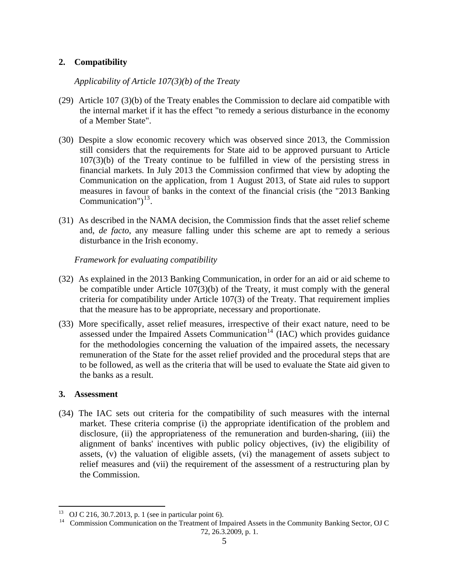# **2. Compatibility**

#### *Applicability of Article 107(3)(b) of the Treaty*

- (29) Article 107 (3)(b) of the Treaty enables the Commission to declare aid compatible with the internal market if it has the effect "to remedy a serious disturbance in the economy of a Member State".
- (30) Despite a slow economic recovery which was observed since 2013, the Commission still considers that the requirements for State aid to be approved pursuant to Article 107(3)(b) of the Treaty continue to be fulfilled in view of the persisting stress in financial markets. In July 2013 the Commission confirmed that view by adopting the Communication on the application, from 1 August 2013, of State aid rules to support measures in favour of banks in the context of the financial crisis (the "2013 Banking Communication") $^{13}$  $^{13}$  $^{13}$ .
- (31) As described in the NAMA decision, the Commission finds that the asset relief scheme and, *de facto*, any measure falling under this scheme are apt to remedy a serious disturbance in the Irish economy.

*Framework for evaluating compatibility* 

- (32) As explained in the 2013 Banking Communication, in order for an aid or aid scheme to be compatible under Article 107(3)(b) of the Treaty, it must comply with the general criteria for compatibility under Article 107(3) of the Treaty. That requirement implies that the measure has to be appropriate, necessary and proportionate.
- (33) More specifically, asset relief measures, irrespective of their exact nature, need to be assessed under the Impaired Assets Communication<sup>[14](#page-4-1)</sup> (IAC) which provides guidance for the methodologies concerning the valuation of the impaired assets, the necessary remuneration of the State for the asset relief provided and the procedural steps that are to be followed, as well as the criteria that will be used to evaluate the State aid given to the banks as a result.

#### **3. Assessment**

(34) The IAC sets out criteria for the compatibility of such measures with the internal market. These criteria comprise (i) the appropriate identification of the problem and disclosure, (ii) the appropriateness of the remuneration and burden-sharing, (iii) the alignment of banks' incentives with public policy objectives, (iv) the eligibility of assets, (v) the valuation of eligible assets, (vi) the management of assets subject to relief measures and (vii) the requirement of the assessment of a restructuring plan by the Commission.

<span id="page-4-0"></span> $13$ OJ C 216, 30.7.2013, p. 1 (see in particular point 6).

<span id="page-4-1"></span><sup>&</sup>lt;sup>14</sup> Commission Communication on the Treatment of Impaired Assets in the Community Banking Sector, OJ C 72, 26.3.2009, p. 1.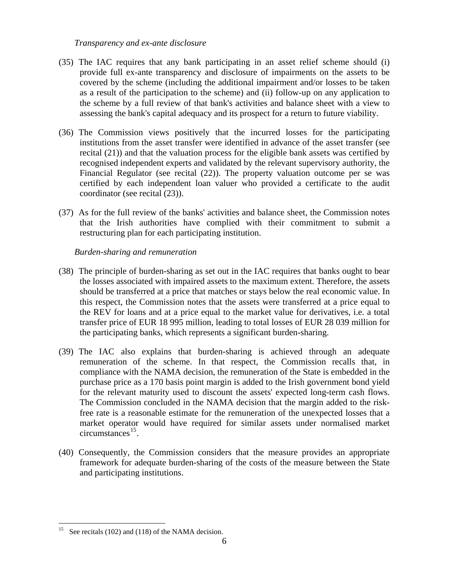#### *Transparency and ex-ante disclosure*

- (35) The IAC requires that any bank participating in an asset relief scheme should (i) provide full ex-ante transparency and disclosure of impairments on the assets to be covered by the scheme (including the additional impairment and/or losses to be taken as a result of the participation to the scheme) and (ii) follow-up on any application to the scheme by a full review of that bank's activities and balance sheet with a view to assessing the bank's capital adequacy and its prospect for a return to future viability.
- (36) The Commission views positively that the incurred losses for the participating institutions from the asset transfer were identified in advance of the asset transfer (see recital (21[\)\) and that the valuation process for the eligible bank assets was certified by](#page-3-0)  [recognised independent experts and validated by the relevant supervisory authority, the](#page-3-0)  [Financial Regulator \(see recital \(](#page-3-0)22[\)\). The property valuation outcome per se was](#page-3-1)  [certified by each independent loan valuer who provided a certificate to the audit](#page-3-1)  [coordinator \(see recital](#page-3-1) (23[\)\).](#page-3-2)
- (37) As for the full review of the banks' activities and balance sheet, the Commission notes that the Irish authorities have complied with their commitment to submit a restructuring plan for each participating institution.

#### *Burden-sharing and remuneration*

- (38) The principle of burden-sharing as set out in the IAC requires that banks ought to bear the losses associated with impaired assets to the maximum extent. Therefore, the assets should be transferred at a price that matches or stays below the real economic value. In this respect, the Commission notes that the assets were transferred at a price equal to the REV for loans and at a price equal to the market value for derivatives, i.e. a total transfer price of EUR 18 995 million, leading to total losses of EUR 28 039 million for the participating banks, which represents a significant burden-sharing.
- (39) The IAC also explains that burden-sharing is achieved through an adequate remuneration of the scheme. In that respect, the Commission recalls that, in compliance with the NAMA decision, the remuneration of the State is embedded in the purchase price as a 170 basis point margin is added to the Irish government bond yield for the relevant maturity used to discount the assets' expected long-term cash flows. The Commission concluded in the NAMA decision that the margin added to the riskfree rate is a reasonable estimate for the remuneration of the unexpected losses that a market operator would have required for similar assets under normalised market circumstances $^{15}$  $^{15}$  $^{15}$ .
- (40) Consequently, the Commission considers that the measure provides an appropriate framework for adequate burden-sharing of the costs of the measure between the State and participating institutions.

<span id="page-5-0"></span> $15\,$ See recitals (102) and (118) of the NAMA decision.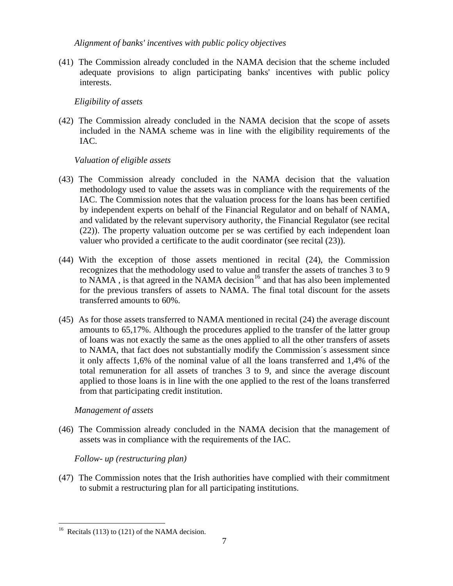*Alignment of banks' incentives with public policy objectives* 

(41) The Commission already concluded in the NAMA decision that the scheme included adequate provisions to align participating banks' incentives with public policy interests.

*Eligibility of assets* 

(42) The Commission already concluded in the NAMA decision that the scope of assets included in the NAMA scheme was in line with the eligibility requirements of the IAC.

# *Valuation of eligible assets*

- (43) The Commission already concluded in the NAMA decision that the valuation methodology used to value the assets was in compliance with the requirements of the IAC. The Commission notes that the valuation process for the loans has been certified by independent experts on behalf of the Financial Regulator and on behalf of NAMA, and validated by the relevant supervisory authority, the Financial Regulator (see recital [\(22\)\)](#page-3-1). The property valuation outcome per se was certified by each independent loan valuer who provided a certificate to the audit coordinator (see recital [\(23\)\)](#page-3-2).
- (44) With the exception of those assets mentioned in recital (24), the Commission recognizes that the methodology used to value and transfer the assets of tranches 3 to 9 to NAMA, is that agreed in the NAMA decision<sup>[16](#page-6-0)</sup> and that has also been implemented for the previous transfers of assets to NAMA. The final total discount for the assets transferred amounts to 60%.
- (45) As for those assets transferred to NAMA mentioned in recital (24) the average discount amounts to 65,17%. Although the procedures applied to the transfer of the latter group of loans was not exactly the same as the ones applied to all the other transfers of assets to NAMA, that fact does not substantially modify the Commission´s assessment since it only affects 1,6% of the nominal value of all the loans transferred and 1,4% of the total remuneration for all assets of tranches 3 to 9, and since the average discount applied to those loans is in line with the one applied to the rest of the loans transferred from that participating credit institution.

# *Management of assets*

(46) The Commission already concluded in the NAMA decision that the management of assets was in compliance with the requirements of the IAC.

# *Follow- up (restructuring plan)*

(47) The Commission notes that the Irish authorities have complied with their commitment to submit a restructuring plan for all participating institutions.

 $\overline{a}$ 

<span id="page-6-0"></span> $16$  Recitals (113) to (121) of the NAMA decision.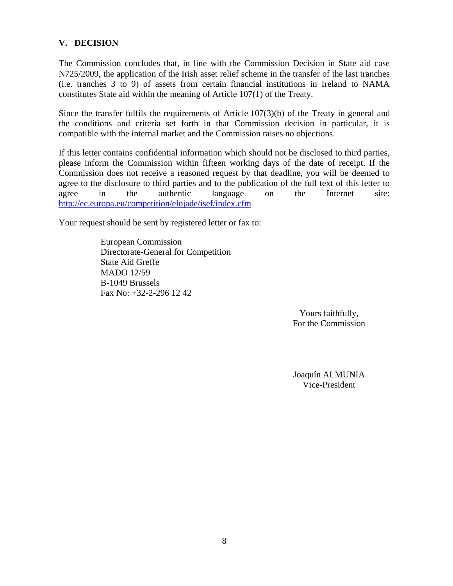### **V. DECISION**

The Commission concludes that, in line with the Commission Decision in State aid case N725/2009, the application of the Irish asset relief scheme in the transfer of the last tranches (i.e. tranches 3 to 9) of assets from certain financial institutions in Ireland to NAMA constitutes State aid within the meaning of Article 107(1) of the Treaty.

Since the transfer fulfils the requirements of Article 107(3)(b) of the Treaty in general and the conditions and criteria set forth in that Commission decision in particular, it is compatible with the internal market and the Commission raises no objections.

If this letter contains confidential information which should not be disclosed to third parties, please inform the Commission within fifteen working days of the date of receipt. If the Commission does not receive a reasoned request by that deadline, you will be deemed to agree to the disclosure to third parties and to the publication of the full text of this letter to agree in the authentic language on the Internet site: http://ec.europa.eu/competition/elojade/isef/index.cfm

Your request should be sent by registered letter or fax to:

European Commission Directorate-General for Competition State Aid Greffe MADO 12/59 B-1049 Brussels Fax No: +32-2-296 12 42

> Yours faithfully, For the Commission

Joaquín ALMUNIA Vice-President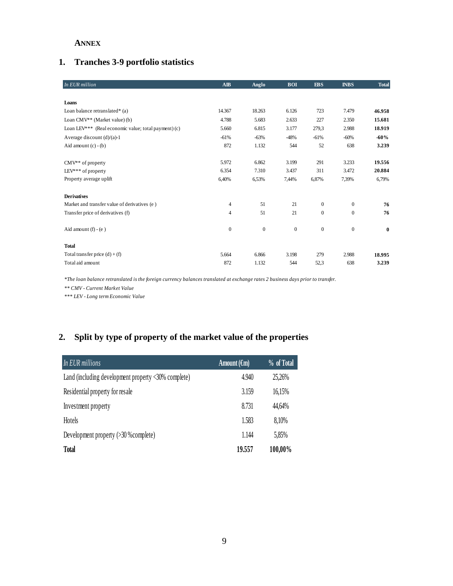#### **ANNEX**

# **1. Tranches 3-9 portfolio statistics**

| In EUR million                                       | <b>AIB</b>       | Anglo          | <b>BOI</b>   | <b>EBS</b>       | <b>INBS</b>  | <b>Total</b> |
|------------------------------------------------------|------------------|----------------|--------------|------------------|--------------|--------------|
|                                                      |                  |                |              |                  |              |              |
| Loans                                                |                  |                |              |                  |              |              |
| Loan balance retranslated* (a)                       | 14.367           | 18.263         | 6.126        | 723              | 7.479        | 46.958       |
| Loan CMV <sup>**</sup> (Market value) (b)            | 4.788            | 5.683          | 2.633        | 227              | 2.350        | 15.681       |
| Loan LEV*** (Real economic value; total payment) (c) | 5.660            | 6.815          | 3.177        | 279,3            | 2.988        | 18.919       |
| Average discount $(d)/(a)-1$                         | $-61%$           | $-63%$         | $-48%$       | $-61%$           | $-60\%$      | $-60%$       |
| Aid amount $(c) - (b)$                               | 872              | 1.132          | 544          | 52               | 638          | 3.239        |
|                                                      |                  |                |              |                  |              |              |
| CMV** of property                                    | 5.972            | 6.862          | 3.199        | 291              | 3.233        | 19.556       |
| LEV*** of property                                   | 6.354            | 7.310          | 3.437        | 311              | 3.472        | 20.884       |
| Property average uplift                              | 6,40%            | 6,53%          | 7,44%        | 6,87%            | 7,39%        | 6,79%        |
|                                                      |                  |                |              |                  |              |              |
| <b>Derivatives</b>                                   |                  |                |              |                  |              |              |
| Market and transfer value of derivatives (e)         | $\overline{4}$   | 51             | 21           | $\overline{0}$   | $\mathbf{0}$ | 76           |
| Transfer price of derivatives (f)                    | 4                | 51             | 21           | $\boldsymbol{0}$ | $\mathbf{0}$ | 76           |
|                                                      |                  |                |              |                  |              |              |
| Aid amount $(f) - (e)$                               | $\boldsymbol{0}$ | $\overline{0}$ | $\mathbf{0}$ | $\boldsymbol{0}$ | $\mathbf{0}$ | $\bf{0}$     |
|                                                      |                  |                |              |                  |              |              |
| <b>Total</b>                                         |                  |                |              |                  |              |              |
| Total transfer price $(d) + (f)$                     | 5.664            | 6.866          | 3.198        | 279              | 2.988        | 18.995       |
| Total aid amount                                     | 872              | 1.132          | 544          | 52,3             | 638          | 3.239        |

*\*The loan balance retranslated is the foreign currency balances translated at exchange rates 2 business days prior to transfer.*

*\*\* CMV - Current Market Value* 

*\*\*\* LEV - Long term Economic Value*

# **2. Split by type of property of the market value of the properties**

| In EUR millions                                                                | Amount $(\epsilon_m)$ | % of Total |
|--------------------------------------------------------------------------------|-----------------------|------------|
| Land (including development property $\langle 30\% \text{ complete} \rangle$ ) | 4.940                 | 25,26%     |
| Residential property for resale                                                | 3.159                 | 16,15%     |
| Investment property                                                            | 8.731                 | 44,64%     |
| <b>Hotels</b>                                                                  | 1.583                 | 8,10%      |
| Development property $(>30$ % complete)                                        | 1.144                 | 5,85%      |
| <b>Total</b>                                                                   | 19.557                | 100,00%    |